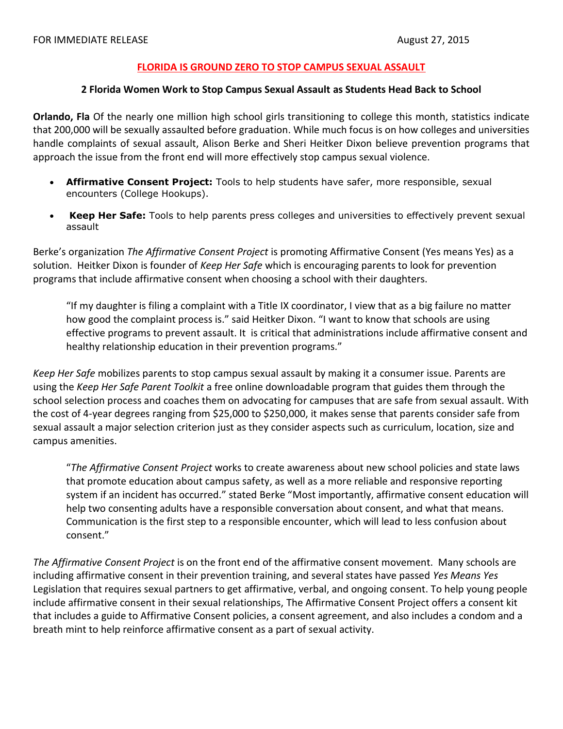## FLORIDA IS GROUND ZERO TO STOP CAMPUS SEXUAL ASSAULT

## 2 Florida Women Work to Stop Campus Sexual Assault as Students Head Back to School

**Orlando, Fla** Of the nearly one million high school girls transitioning to college this month, statistics indicate that 200,000 will be sexually assaulted before graduation. While much focus is on how colleges and universities handle complaints of sexual assault, Alison Berke and Sheri Heitker Dixon believe prevention programs that approach the issue from the front end will more effectively stop campus sexual violence.

- Affirmative Consent Project: Tools to help students have safer, more responsible, sexual  $\bullet$ encounters (College Hookups).
- Keep Her Safe: Tools to help parents press colleges and universities to effectively prevent sexual assault

Berke's organization The Affirmative Consent Project is promoting Affirmative Consent (Yes means Yes) as a solution. Heitker Dixon is founder of Keep Her Safe which is encouraging parents to look for prevention programs that include affirmative consent when choosing a school with their daughters.

"If my daughter is filing a complaint with a Title IX coordinator, I view that as a big failure no matter how good the complaint process is." said Heitker Dixon. "I want to know that schools are using effective programs to prevent assault. It is critical that administrations include affirmative consent and healthy relationship education in their prevention programs."

Keep Her Safe mobilizes parents to stop campus sexual assault by making it a consumer issue. Parents are using the Keep Her Safe Parent Toolkit a free online downloadable program that guides them through the school selection process and coaches them on advocating for campuses that are safe from sexual assault. With the cost of 4-year degrees ranging from \$25,000 to \$250,000, it makes sense that parents consider safe from sexual assault a major selection criterion just as they consider aspects such as curriculum, location, size and campus amenities.

"The Affirmative Consent Project works to create awareness about new school policies and state laws that promote education about campus safety, as well as a more reliable and responsive reporting system if an incident has occurred." stated Berke "Most importantly, affirmative consent education will help two consenting adults have a responsible conversation about consent, and what that means. Communication is the first step to a responsible encounter, which will lead to less confusion about consent."

The Affirmative Consent Project is on the front end of the affirmative consent movement. Many schools are including affirmative consent in their prevention training, and several states have passed Yes Means Yes Legislation that requires sexual partners to get affirmative, verbal, and ongoing consent. To help young people include affirmative consent in their sexual relationships, The Affirmative Consent Project offers a consent kit that includes a guide to Affirmative Consent policies, a consent agreement, and also includes a condom and a breath mint to help reinforce affirmative consent as a part of sexual activity.